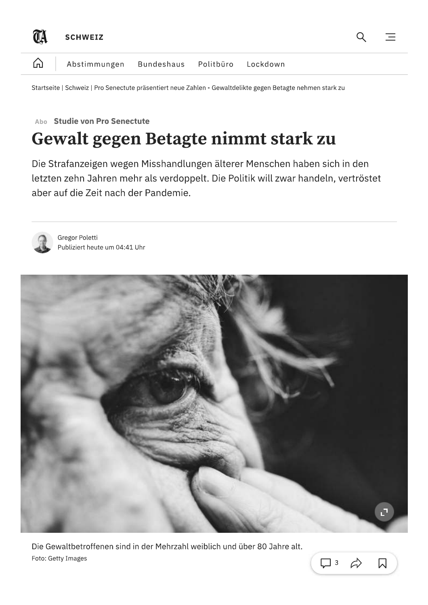

Startseite | Schweiz | Pro Senectute präsentiert neue Zahlen - Gewaltdelikte gegen Betagte nehmen stark zu

#### **Studie von Pro Senectute** Aho

# Gewalt gegen Betagte nimmt stark zu

Die Strafanzeigen wegen Misshandlungen älterer Menschen haben sich in den letzten zehn Jahren mehr als verdoppelt. Die Politik will zwar handeln, vertröstet aber auf die Zeit nach der Pandemie.



Gregor Poletti Publiziert heute um 04:41 Uhr



 $\Box$  3

 $\mathcal{L}$ 

Die Gewaltbetroffenen sind in der Mehrzahl weiblich und über 80 Jahre alt. Foto: Getty Images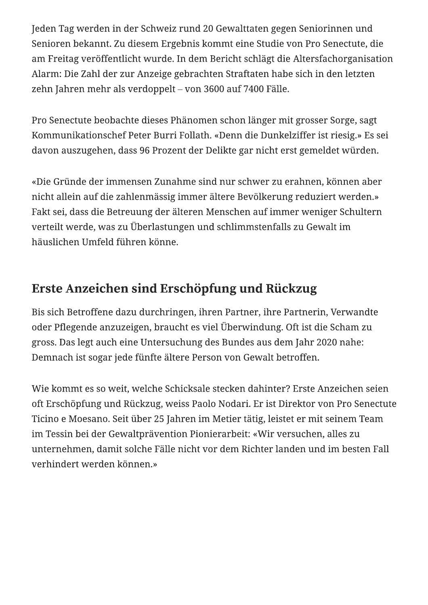Jeden Tag werden in der Schweiz rund 20 Gewalttaten gegen Seniorinnen und Senioren bekannt. Zu diesem Ergebnis kommt eine Studie von Pro Senectute, die am Freitag veröffentlicht wurde. In dem Bericht schlägt die Altersfachorganisation Alarm: Die Zahl der zur Anzeige gebrachten Straftaten habe sich in den letzten zehn Jahren mehr als verdoppelt – von 3600 auf 7400 Fälle.

Pro Senectute beobachte dieses Phänomen schon länger mit grosser Sorge, sagt Kommunikationschef Peter Burri Follath. «Denn die Dunkelziffer ist riesig.» Es sei davon auszugehen, dass 96 Prozent der Delikte gar nicht erst gemeldet würden.

«Die Gründe der immensen Zunahme sind nur schwer zu erahnen, können aber nicht allein auf die zahlenmässig immer ältere Bevölkerung reduziert werden.» Fakt sei, dass die Betreuung der älteren Menschen auf immer weniger Schultern verteilt werde, was zu Überlastungen und schlimmstenfalls zu Gewalt im häuslichen Umfeld führen könne.

## Erste Anzeichen sind Erschöpfung und Rückzug

Bis sich Betroffene dazu durchringen, ihren Partner, ihre Partnerin, Verwandte oder Pflegende anzuzeigen, braucht es viel Überwindung. Oft ist die Scham zu gross. Das legt auch eine Untersuchung des Bundes aus dem Jahr 2020 nahe: Demnach ist sogar jede fünfte ältere Person von Gewalt betroffen.

Wie kommt es so weit, welche Schicksale stecken dahinter? Erste Anzeichen seien oft Erschöpfung und Rückzug, weiss Paolo Nodari. Er ist Direktor von Pro Senectute Ticino e Moesano. Seit über 25 Jahren im Metier tätig, leistet er mit seinem Team im Tessin bei der Gewaltprävention Pionierarbeit: «Wir versuchen, alles zu unternehmen, damit solche Fälle nicht vor dem Richter landen und im besten Fall verhindert werden können.»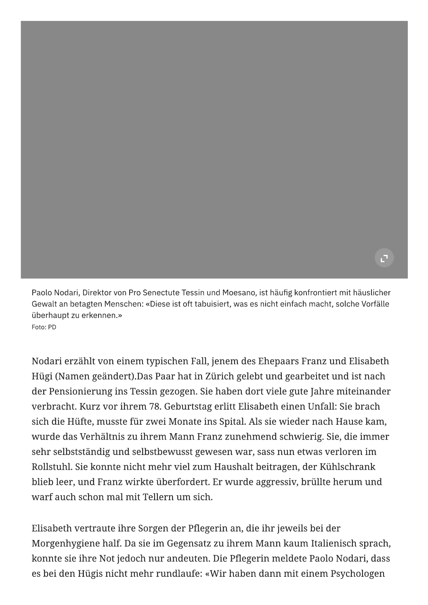Paolo Nodari, Direktor von Pro Senectute Tessin und Moesano, ist häufig konfrontiert mit häuslicher Gewalt an betagten Menschen: «Diese ist oft tabuisiert, was es nicht einfach macht, solche Vorfälle überhaupt zu erkennen.» Foto: PD

Nodari erzählt von einem typischen Fall, jenem des Ehepaars Franz und Elisabeth Hügi (Namen geändert).Das Paar hat in Zürich gelebt und gearbeitet und ist nach der Pensionierung ins Tessin gezogen. Sie haben dort viele gute Jahre miteinander verbracht. Kurz vor ihrem 78. Geburtstag erlitt Elisabeth einen Unfall: Sie brach sich die Hüfte, musste für zwei Monate ins Spital. Als sie wieder nach Hause kam, wurde das Verhältnis zu ihrem Mann Franz zunehmend schwierig. Sie, die immer sehr selbstständig und selbstbewusst gewesen war, sass nun etwas verloren im Rollstuhl. Sie konnte nicht mehr viel zum Haushalt beitragen, der Kühlschrank blieb leer, und Franz wirkte überfordert. Er wurde aggressiv, brüllte herum und warf auch schon mal mit Tellern um sich.

Elisabeth vertraute ihre Sorgen der Pflegerin an, die ihr jeweils bei der Morgenhygiene half. Da sie im Gegensatz zu ihrem Mann kaum Italienisch sprach, konnte sie ihre Not jedoch nur andeuten. Die Pflegerin meldete Paolo Nodari, dass es bei den Hügis nicht mehr rundlaufe: «Wir haben dann mit einem Psychologen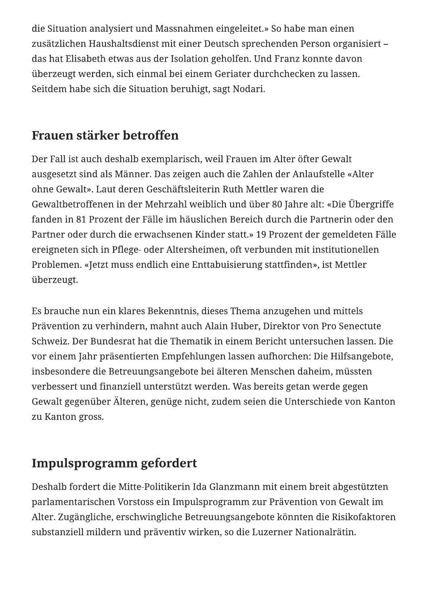die Situation analysiert und Massnahmen eingeleitet.» So habe man einen zusätzlichen Haushaltsdienst mit einer Deutsch sprechenden Person organisiert – das hat Elisabeth etwas aus der Isolation geholfen. Und Franz konnte davon überzeugt werden, sich einmal bei einem Geriater durchchecken zu lassen. Seitdem habe sich die Situation beruhigt, sagt Nodari.

## Frauen stärker betroffen

Der Fall ist auch deshalb exemplarisch, weil Frauen im Alter öfter Gewalt ausgesetzt sind als Männer. Das zeigen auch die Zahlen der Anlaufstelle «Alter ohne Gewalt». Laut deren Geschäftsleiterin Ruth Mettler waren die Gewaltbetroffenen in der Mehrzahl weiblich und über 80 Jahre alt: «Die Übergriffe fanden in 81 Prozent der Fälle im häuslichen Bereich durch die Partnerin oder den Partner oder durch die erwachsenen Kinder statt.» 19 Prozent der gemeldeten Fälle ereigneten sich in Pflege- oder Altersheimen, oft verbunden mit institutionellen Problemen. «Jetzt muss endlich eine Enttabuisierung stattfinden», ist Mettler überzeugt.

Es brauche nun ein klares Bekenntnis, dieses Thema anzugehen und mittels Prävention zu verhindern, mahnt auch Alain Huber, Direktor von Pro Senectute Schweiz. Der Bundesrat hat die Thematik in einem Bericht untersuchen lassen. Die vor einem Jahr präsentierten Empfehlungen lassen aufhorchen: Die Hilfsangebote, insbesondere die Betreuungsangebote bei älteren Menschen daheim, müssten verbessert und finanziell unterstützt werden. Was bereits getan werde gegen Gewalt gegenüber Älteren, genüge nicht, zudem seien die Unterschiede von Kanton zu Kanton gross.

## **Impulsprogramm gefordert**

Deshalb fordert die Mitte-Politikerin Ida Glanzmann mit einem breit abgestützten parlamentarischen Vorstoss ein Impulsprogramm zur Prävention von Gewalt im Alter. Zugängliche, erschwingliche Betreuungsangebote könnten die Risikofaktoren substanziell mildern und präventiv wirken, so die Luzerner Nationalrätin.